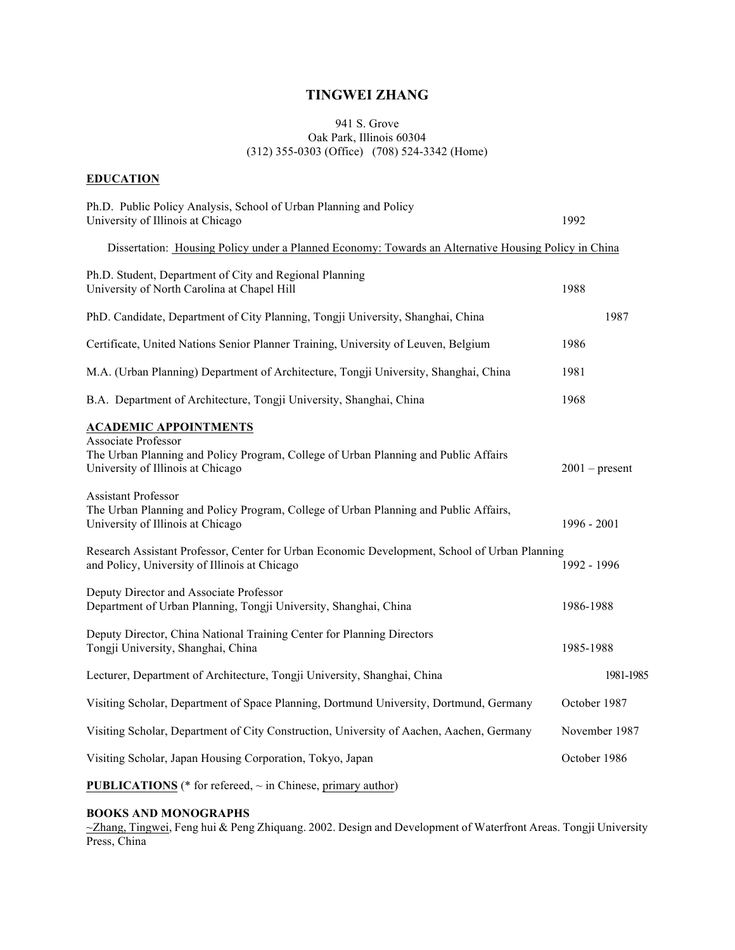# **TINGWEI ZHANG**

### 941 S. Grove Oak Park, Illinois 60304 (312) 355-0303 (Office) (708) 524-3342 (Home)

## **EDUCATION**

| Ph.D. Public Policy Analysis, School of Urban Planning and Policy<br>University of Illinois at Chicago                                                                                 | 1992             |
|----------------------------------------------------------------------------------------------------------------------------------------------------------------------------------------|------------------|
| Dissertation: Housing Policy under a Planned Economy: Towards an Alternative Housing Policy in China                                                                                   |                  |
| Ph.D. Student, Department of City and Regional Planning<br>University of North Carolina at Chapel Hill                                                                                 | 1988             |
| PhD. Candidate, Department of City Planning, Tongji University, Shanghai, China                                                                                                        | 1987             |
| Certificate, United Nations Senior Planner Training, University of Leuven, Belgium                                                                                                     | 1986             |
| M.A. (Urban Planning) Department of Architecture, Tongji University, Shanghai, China                                                                                                   | 1981             |
| B.A. Department of Architecture, Tongji University, Shanghai, China                                                                                                                    | 1968             |
| <b>ACADEMIC APPOINTMENTS</b><br><b>Associate Professor</b><br>The Urban Planning and Policy Program, College of Urban Planning and Public Affairs<br>University of Illinois at Chicago | $2001$ – present |
| <b>Assistant Professor</b><br>The Urban Planning and Policy Program, College of Urban Planning and Public Affairs,<br>University of Illinois at Chicago                                | $1996 - 2001$    |
| Research Assistant Professor, Center for Urban Economic Development, School of Urban Planning<br>and Policy, University of Illinois at Chicago                                         | 1992 - 1996      |
| Deputy Director and Associate Professor<br>Department of Urban Planning, Tongji University, Shanghai, China                                                                            | 1986-1988        |
| Deputy Director, China National Training Center for Planning Directors<br>Tongji University, Shanghai, China                                                                           | 1985-1988        |
| Lecturer, Department of Architecture, Tongji University, Shanghai, China                                                                                                               | 1981-1985        |
| Visiting Scholar, Department of Space Planning, Dortmund University, Dortmund, Germany                                                                                                 | October 1987     |
| Visiting Scholar, Department of City Construction, University of Aachen, Aachen, Germany                                                                                               | November 1987    |
| Visiting Scholar, Japan Housing Corporation, Tokyo, Japan                                                                                                                              | October 1986     |
|                                                                                                                                                                                        |                  |

**PUBLICATIONS** (\* for refereed, ~ in Chinese, primary author)

## **BOOKS AND MONOGRAPHS**

~Zhang, Tingwei, Feng hui & Peng Zhiquang. 2002. Design and Development of Waterfront Areas. Tongji University Press, China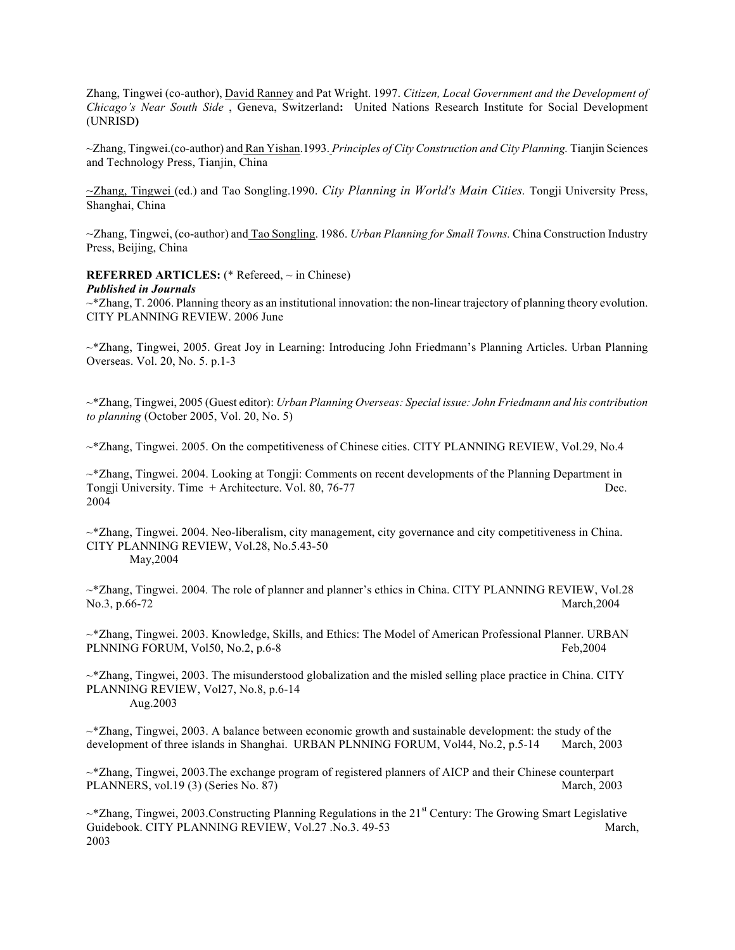Zhang, Tingwei (co-author), David Ranney and Pat Wright. 1997. *Citizen, Local Government and the Development of Chicago's Near South Side* , Geneva, Switzerland**:** United Nations Research Institute for Social Development (UNRISD**)**

~Zhang, Tingwei.(co-author) and Ran Yishan.1993. *Principles of City Construction and City Planning.* Tianjin Sciences and Technology Press, Tianjin, China

~Zhang, Tingwei (ed.) and Tao Songling.1990. *City Planning in World's Main Cities.* Tongji University Press, Shanghai, China

~Zhang, Tingwei, (co-author) and Tao Songling. 1986. *Urban Planning for Small Towns.* China Construction Industry Press, Beijing, China

### **REFERRED ARTICLES:** (\* Refereed, ~ in Chinese)

#### *Published in Journals*

 $\sim$ \*Zhang, T. 2006. Planning theory as an institutional innovation: the non-linear trajectory of planning theory evolution. CITY PLANNING REVIEW. 2006 June

~\*Zhang, Tingwei, 2005. Great Joy in Learning: Introducing John Friedmann's Planning Articles. Urban Planning Overseas. Vol. 20, No. 5. p.1-3

~\*Zhang, Tingwei, 2005 (Guest editor): *Urban Planning Overseas: Special issue: John Friedmann and his contribution to planning* (October 2005, Vol. 20, No. 5)

~\*Zhang, Tingwei. 2005. On the competitiveness of Chinese cities. CITY PLANNING REVIEW, Vol.29, No.4

~\*Zhang, Tingwei. 2004. Looking at Tongji: Comments on recent developments of the Planning Department in Tongji University. Time + Architecture. Vol. 80, 76-77 Dec. 2004

~\*Zhang, Tingwei. 2004. Neo-liberalism, city management, city governance and city competitiveness in China. CITY PLANNING REVIEW, Vol.28, No.5.43-50 May,2004

~\*Zhang, Tingwei. 2004*.* The role of planner and planner's ethics in China. CITY PLANNING REVIEW, Vol.28 No.3, p.66-72 March,2004

~\*Zhang, Tingwei. 2003. Knowledge, Skills, and Ethics: The Model of American Professional Planner. URBAN PLNNING FORUM, Vol50, No.2, p.6-8 Feb,2004

 $\sim$ \*Zhang, Tingwei, 2003. The misunderstood globalization and the misled selling place practice in China. CITY PLANNING REVIEW, Vol27, No.8, p.6-14 Aug.2003

 $\sim$ \*Zhang, Tingwei, 2003. A balance between economic growth and sustainable development: the study of the development of three islands in Shanghai. URBAN PLNNING FORUM, Vol44, No.2, p.5-14 March, 2003

~\*Zhang, Tingwei, 2003.The exchange program of registered planners of AICP and their Chinese counterpart PLANNERS, vol.19 (3) (Series No. 87) March, 2003

 $\sim$ \*Zhang, Tingwei, 2003.Constructing Planning Regulations in the 21<sup>st</sup> Century: The Growing Smart Legislative Guidebook. CITY PLANNING REVIEW, Vol.27 .No.3, 49-53 March, March, 2003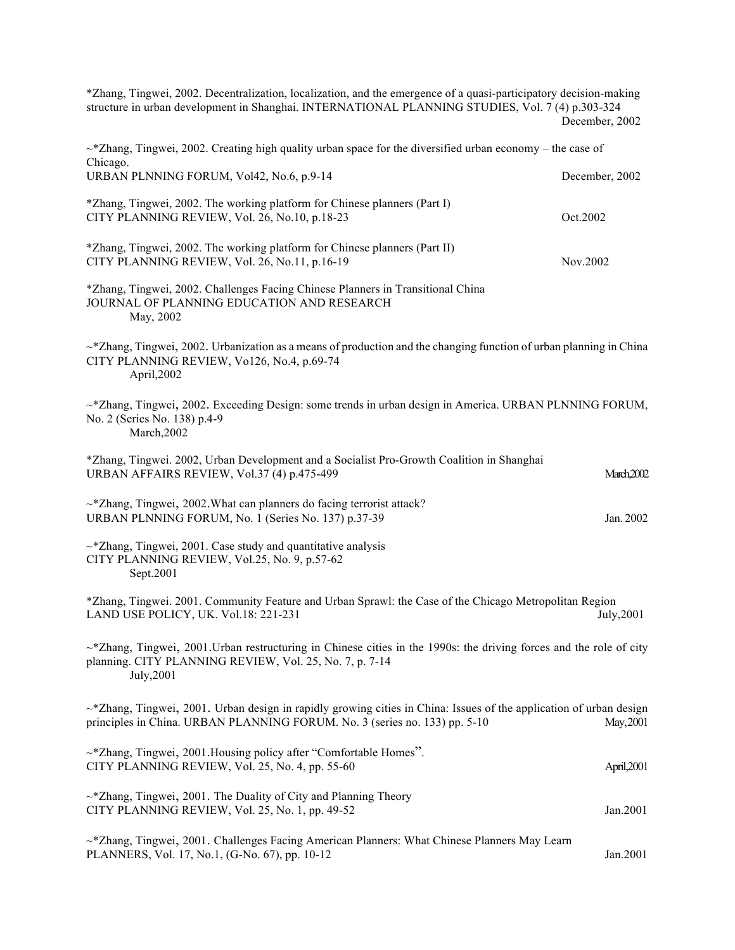\*Zhang, Tingwei, 2002. Decentralization, localization, and the emergence of a quasi-participatory decision-making structure in urban development in Shanghai. INTERNATIONAL PLANNING STUDIES, Vol. 7 (4) p.303-324 December, 2002

| $\sim$ *Zhang, Tingwei, 2002. Creating high quality urban space for the diversified urban economy – the case of<br>Chicago.                                                                            |                       |
|--------------------------------------------------------------------------------------------------------------------------------------------------------------------------------------------------------|-----------------------|
| URBAN PLNNING FORUM, Vol42, No.6, p.9-14                                                                                                                                                               | December, 2002        |
| *Zhang, Tingwei, 2002. The working platform for Chinese planners (Part I)<br>CITY PLANNING REVIEW, Vol. 26, No.10, p.18-23                                                                             | Oct.2002              |
| *Zhang, Tingwei, 2002. The working platform for Chinese planners (Part II)<br>CITY PLANNING REVIEW, Vol. 26, No.11, p.16-19                                                                            | Nov.2002              |
| *Zhang, Tingwei, 2002. Challenges Facing Chinese Planners in Transitional China<br>JOURNAL OF PLANNING EDUCATION AND RESEARCH<br>May, 2002                                                             |                       |
| $\sim$ *Zhang, Tingwei, 2002. Urbanization as a means of production and the changing function of urban planning in China<br>CITY PLANNING REVIEW, Vo126, No.4, p.69-74<br>April, 2002                  |                       |
| $\sim$ *Zhang, Tingwei, 2002. Exceeding Design: some trends in urban design in America. URBAN PLNNING FORUM,<br>No. 2 (Series No. 138) p.4-9<br>March, 2002                                            |                       |
| *Zhang, Tingwei. 2002, Urban Development and a Socialist Pro-Growth Coalition in Shanghai<br>URBAN AFFAIRS REVIEW, Vol.37 (4) p.475-499                                                                | March <sub>2002</sub> |
| $\sim$ *Zhang, Tingwei, 2002. What can planners do facing terrorist attack?<br>URBAN PLNNING FORUM, No. 1 (Series No. 137) p.37-39                                                                     | Jan. 2002             |
| $\sim$ *Zhang, Tingwei, 2001. Case study and quantitative analysis<br>CITY PLANNING REVIEW, Vol.25, No. 9, p.57-62<br>Sept.2001                                                                        |                       |
| *Zhang, Tingwei. 2001. Community Feature and Urban Sprawl: the Case of the Chicago Metropolitan Region<br>LAND USE POLICY, UK. Vol.18: 221-231                                                         | July, 2001            |
| $\sim$ *Zhang, Tingwei, 2001. Urban restructuring in Chinese cities in the 1990s: the driving forces and the role of city<br>planning. CITY PLANNING REVIEW, Vol. 25, No. 7, p. 7-14<br>July,2001      |                       |
| $\sim$ *Zhang, Tingwei, 2001. Urban design in rapidly growing cities in China: Issues of the application of urban design<br>principles in China. URBAN PLANNING FORUM. No. 3 (series no. 133) pp. 5-10 | May, 2001             |
| ~* Zhang, Tingwei, 2001. Housing policy after "Comfortable Homes".<br>CITY PLANNING REVIEW, Vol. 25, No. 4, pp. 55-60                                                                                  | April, 2001           |
| $\sim$ *Zhang, Tingwei, 2001. The Duality of City and Planning Theory<br>CITY PLANNING REVIEW, Vol. 25, No. 1, pp. 49-52                                                                               | Jan.2001              |
| ~*Zhang, Tingwei, 2001. Challenges Facing American Planners: What Chinese Planners May Learn<br>PLANNERS, Vol. 17, No.1, (G-No. 67), pp. 10-12                                                         | Jan.2001              |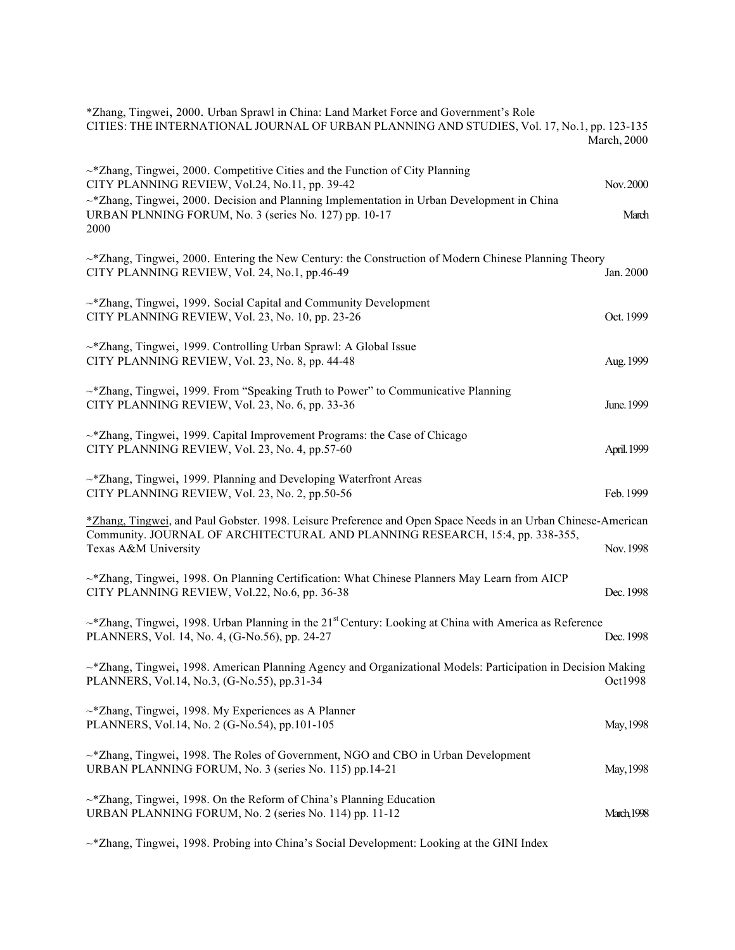| *Zhang, Tingwei, 2000. Urban Sprawl in China: Land Market Force and Government's Role<br>CITIES: THE INTERNATIONAL JOURNAL OF URBAN PLANNING AND STUDIES, Vol. 17, No.1, pp. 123-135                                                                                                                      | <b>March</b> , 2000 |
|-----------------------------------------------------------------------------------------------------------------------------------------------------------------------------------------------------------------------------------------------------------------------------------------------------------|---------------------|
| $\sim$ *Zhang, Tingwei, 2000. Competitive Cities and the Function of City Planning<br>CITY PLANNING REVIEW, Vol.24, No.11, pp. 39-42<br>$\sim$ *Zhang, Tingwei, 2000. Decision and Planning Implementation in Urban Development in China<br>URBAN PLNNING FORUM, No. 3 (series No. 127) pp. 10-17<br>2000 | Nov. 2000<br>March  |
| $\sim$ *Zhang, Tingwei, 2000. Entering the New Century: the Construction of Modern Chinese Planning Theory<br>CITY PLANNING REVIEW, Vol. 24, No.1, pp.46-49                                                                                                                                               | Jan. 2000           |
| ~*Zhang, Tingwei, 1999. Social Capital and Community Development<br>CITY PLANNING REVIEW, Vol. 23, No. 10, pp. 23-26                                                                                                                                                                                      | Oct. 1999           |
| ~*Zhang, Tingwei, 1999. Controlling Urban Sprawl: A Global Issue<br>CITY PLANNING REVIEW, Vol. 23, No. 8, pp. 44-48                                                                                                                                                                                       | Aug. 1999           |
| $\sim$ *Zhang, Tingwei, 1999. From "Speaking Truth to Power" to Communicative Planning<br>CITY PLANNING REVIEW, Vol. 23, No. 6, pp. 33-36                                                                                                                                                                 | June. 1999          |
| ~*Zhang, Tingwei, 1999. Capital Improvement Programs: the Case of Chicago<br>CITY PLANNING REVIEW, Vol. 23, No. 4, pp.57-60                                                                                                                                                                               | April. 1999         |
| ~*Zhang, Tingwei, 1999. Planning and Developing Waterfront Areas<br>CITY PLANNING REVIEW, Vol. 23, No. 2, pp.50-56                                                                                                                                                                                        | Feb. 1999           |
| *Zhang, Tingwei, and Paul Gobster. 1998. Leisure Preference and Open Space Needs in an Urban Chinese-American<br>Community. JOURNAL OF ARCHITECTURAL AND PLANNING RESEARCH, 15:4, pp. 338-355,<br>Texas A&M University                                                                                    | Nov. 1998           |
| ~*Zhang, Tingwei, 1998. On Planning Certification: What Chinese Planners May Learn from AICP<br>CITY PLANNING REVIEW, Vol.22, No.6, pp. 36-38                                                                                                                                                             | Dec. 1998           |
| $\sim$ *Zhang, Tingwei, 1998. Urban Planning in the 21 <sup>st</sup> Century: Looking at China with America as Reference<br>PLANNERS, Vol. 14, No. 4, (G-No.56), pp. 24-27                                                                                                                                | Dec. 1998           |
| $\sim$ *Zhang, Tingwei, 1998. American Planning Agency and Organizational Models: Participation in Decision Making<br>PLANNERS, Vol.14, No.3, (G-No.55), pp.31-34                                                                                                                                         | Oct1998             |
| $\sim$ *Zhang, Tingwei, 1998. My Experiences as A Planner<br>PLANNERS, Vol.14, No. 2 (G-No.54), pp.101-105                                                                                                                                                                                                | May, 1998           |
| $\sim$ *Zhang, Tingwei, 1998. The Roles of Government, NGO and CBO in Urban Development<br>URBAN PLANNING FORUM, No. 3 (series No. 115) pp.14-21                                                                                                                                                          | May, 1998           |
| $\sim$ *Zhang, Tingwei, 1998. On the Reform of China's Planning Education<br>URBAN PLANNING FORUM, No. 2 (series No. 114) pp. 11-12                                                                                                                                                                       | <b>March, 1998</b>  |
|                                                                                                                                                                                                                                                                                                           |                     |

~\*Zhang, Tingwei, 1998. Probing into China's Social Development: Looking at the GINI Index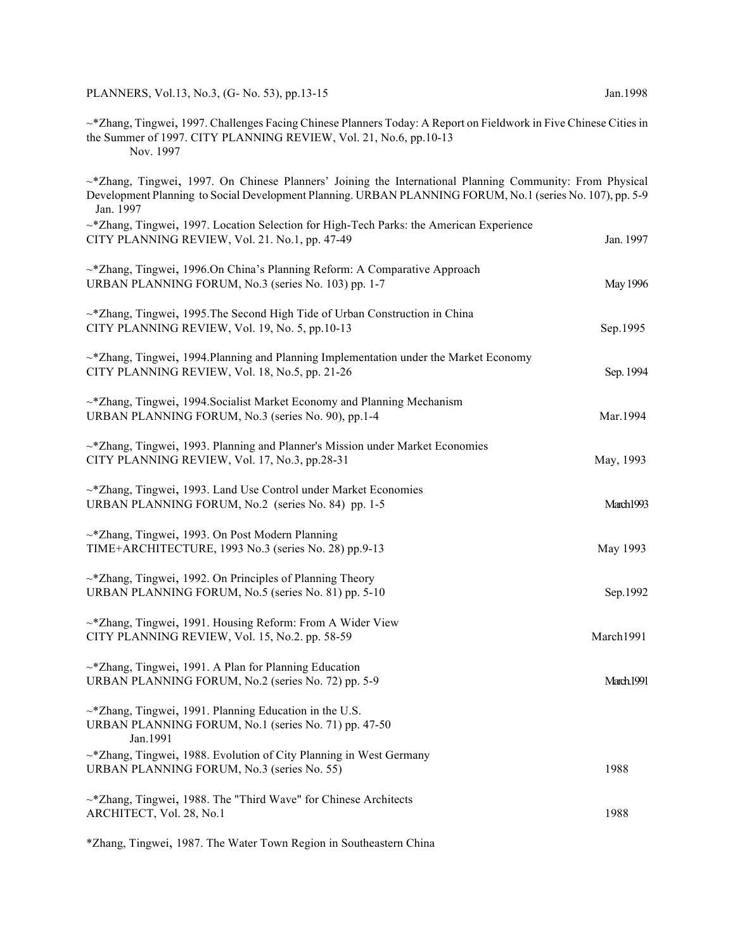PLANNERS, Vol.13, No.3, (G- No. 53), pp.13-15 Jan.1998

~\*Zhang, Tingwei, 1997. Challenges Facing Chinese Planners Today: A Report on Fieldwork in Five Chinese Cities in the Summer of 1997. CITY PLANNING REVIEW, Vol. 21, No.6, pp.10-13 Nov. 1997

~\*Zhang, Tingwei, 1997. On Chinese Planners' Joining the International Planning Community: From Physical Development Planning to Social Development Planning. URBAN PLANNING FORUM, No.1 (series No. 107), pp. 5-9 Jan. 1997  $\sim$ \*Zhang, Tingwei, 1997. Location Selection for High-Tech Parks: the American Experience CITY PLANNING REVIEW, Vol. 21. No.1, pp. 47-49 Jan. 1997 ~\*Zhang, Tingwei, 1996.On China's Planning Reform: A Comparative Approach URBAN PLANNING FORUM, No.3 (series No. 103) pp. 1-7 May 1996  $\sim$   $*$ Zhang, Tingwei, 1995. The Second High Tide of Urban Construction in China CITY PLANNING REVIEW, Vol. 19, No. 5, pp.10-13 Sep.1995  $\sim$ \*Zhang, Tingwei, 1994. Planning and Planning Implementation under the Market Economy  $CITY$  PLANNING REVIEW, Vol. 18, No.5, pp. 21-26 Sep. 1994 ~\*Zhang, Tingwei, 1994.Socialist Market Economy and Planning Mechanism URBAN PLANNING FORUM, No.3 (series No. 90), pp.1-4 Mar.1994  $\sim$  \*Zhang, Tingwei, 1993. Planning and Planner's Mission under Market Economies CITY PLANNING REVIEW, Vol. 17, No.3, pp.28-31 May, 1993 ~\*Zhang, Tingwei, 1993. Land Use Control under Market Economies URBAN PLANNING FORUM, No.2 (series No. 84) pp. 1-5 March1993 ~\*Zhang, Tingwei, 1993. On Post Modern Planning TIME+ARCHITECTURE, 1993 No.3 (series No. 28) pp.9-13 May 1993 ~\*Zhang, Tingwei, 1992. On Principles of Planning Theory URBAN PLANNING FORUM, No.5 (series No. 81) pp. 5-10 Sep.1992 ~\*Zhang, Tingwei, 1991. Housing Reform: From A Wider View CITY PLANNING REVIEW, Vol. 15, No.2. pp. 58-59 March1991 ~\*Zhang, Tingwei, 1991. A Plan for Planning Education URBAN PLANNING FORUM, No.2 (series No. 72) pp. 5-9 March.1991 ~\*Zhang, Tingwei, 1991. Planning Education in the U.S. URBAN PLANNING FORUM, No.1 (series No. 71) pp. 47-50 Jan.1991 ~\*Zhang, Tingwei, 1988. Evolution of City Planning in West Germany URBAN PLANNING FORUM, No.3 (series No. 55) 1988 ~\*Zhang, Tingwei, 1988. The "Third Wave" for Chinese Architects ARCHITECT, Vol. 28, No.1 1988

\*Zhang, Tingwei, 1987. The Water Town Region in Southeastern China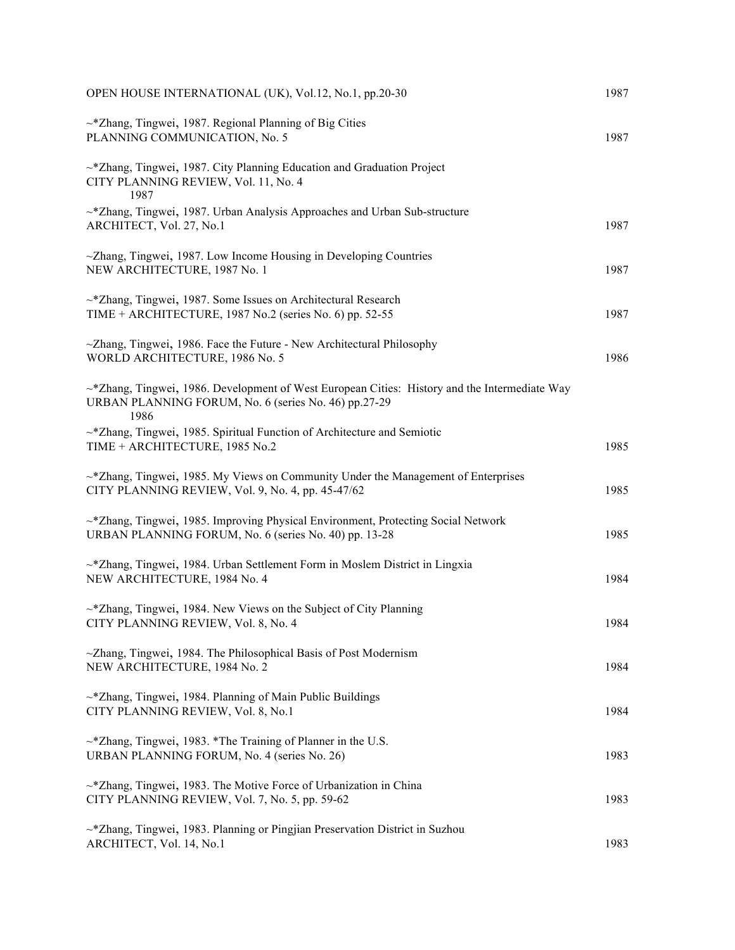| OPEN HOUSE INTERNATIONAL (UK), Vol.12, No.1, pp.20-30                                                                                                               | 1987 |
|---------------------------------------------------------------------------------------------------------------------------------------------------------------------|------|
| $\sim$ *Zhang, Tingwei, 1987. Regional Planning of Big Cities<br>PLANNING COMMUNICATION, No. 5                                                                      | 1987 |
| $\sim$ *Zhang, Tingwei, 1987. City Planning Education and Graduation Project<br>CITY PLANNING REVIEW, Vol. 11, No. 4<br>1987                                        |      |
| ~*Zhang, Tingwei, 1987. Urban Analysis Approaches and Urban Sub-structure<br>ARCHITECT, Vol. 27, No.1                                                               | 1987 |
| $\sim$ Zhang, Tingwei, 1987. Low Income Housing in Developing Countries<br>NEW ARCHITECTURE, 1987 No. 1                                                             | 1987 |
| ~*Zhang, Tingwei, 1987. Some Issues on Architectural Research<br>TIME + ARCHITECTURE, 1987 No.2 (series No. 6) pp. 52-55                                            | 1987 |
| ~Zhang, Tingwei, 1986. Face the Future - New Architectural Philosophy<br>WORLD ARCHITECTURE, 1986 No. 5                                                             | 1986 |
| $\sim$ *Zhang, Tingwei, 1986. Development of West European Cities: History and the Intermediate Way<br>URBAN PLANNING FORUM, No. 6 (series No. 46) pp.27-29<br>1986 |      |
| $\sim$ *Zhang, Tingwei, 1985. Spiritual Function of Architecture and Semiotic<br>TIME + ARCHITECTURE, 1985 No.2                                                     | 1985 |
| $\sim$ *Zhang, Tingwei, 1985. My Views on Community Under the Management of Enterprises<br>CITY PLANNING REVIEW, Vol. 9, No. 4, pp. 45-47/62                        | 1985 |
| ~*Zhang, Tingwei, 1985. Improving Physical Environment, Protecting Social Network<br>URBAN PLANNING FORUM, No. 6 (series No. 40) pp. 13-28                          | 1985 |
| ~*Zhang, Tingwei, 1984. Urban Settlement Form in Moslem District in Lingxia<br>NEW ARCHITECTURE, 1984 No. 4                                                         | 1984 |
| ~*Zhang, Tingwei, 1984. New Views on the Subject of City Planning<br>CITY PLANNING REVIEW, Vol. 8, No. 4                                                            | 1984 |
| ~Zhang, Tingwei, 1984. The Philosophical Basis of Post Modernism<br>NEW ARCHITECTURE, 1984 No. 2                                                                    | 1984 |
| ~*Zhang, Tingwei, 1984. Planning of Main Public Buildings<br>CITY PLANNING REVIEW, Vol. 8, No.1                                                                     | 1984 |
| $\sim$ *Zhang, Tingwei, 1983. *The Training of Planner in the U.S.<br>URBAN PLANNING FORUM, No. 4 (series No. 26)                                                   | 1983 |
| ~*Zhang, Tingwei, 1983. The Motive Force of Urbanization in China<br>CITY PLANNING REVIEW, Vol. 7, No. 5, pp. 59-62                                                 | 1983 |
| ~*Zhang, Tingwei, 1983. Planning or Pingjian Preservation District in Suzhou<br>ARCHITECT, Vol. 14, No.1                                                            | 1983 |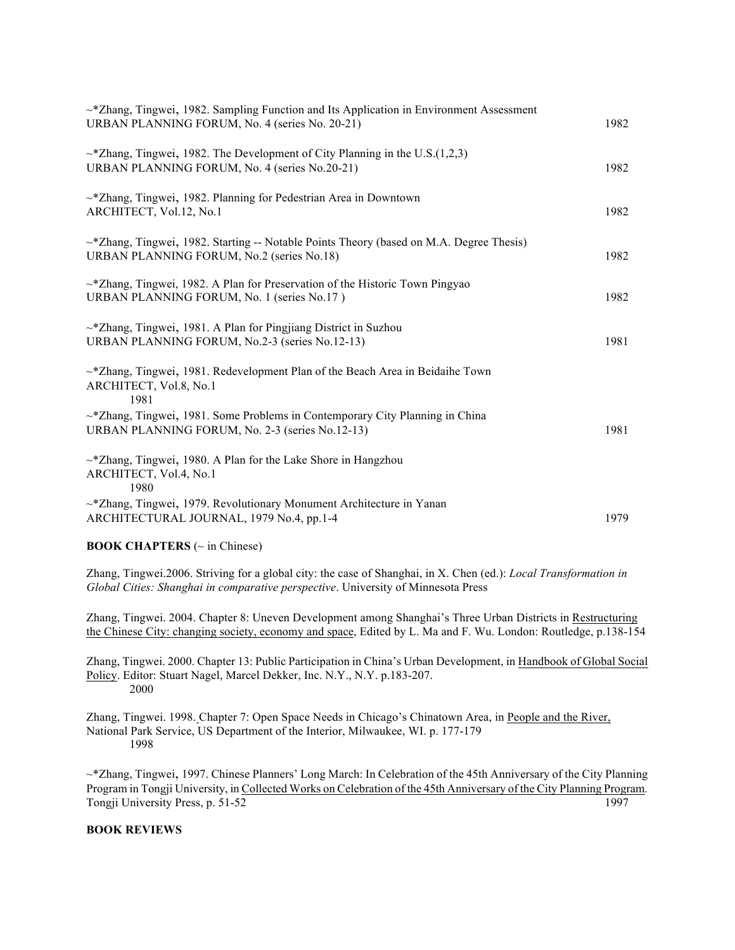| $\sim$ *Zhang, Tingwei, 1982. Sampling Function and Its Application in Environment Assessment<br>URBAN PLANNING FORUM, No. 4 (series No. 20-21) | 1982 |
|-------------------------------------------------------------------------------------------------------------------------------------------------|------|
| $\sim$ *Zhang, Tingwei, 1982. The Development of City Planning in the U.S.(1,2,3)<br>URBAN PLANNING FORUM, No. 4 (series No.20-21)              | 1982 |
| ~* Zhang, Tingwei, 1982. Planning for Pedestrian Area in Downtown<br>ARCHITECT, Vol.12, No.1                                                    | 1982 |
| $\sim$ *Zhang, Tingwei, 1982. Starting -- Notable Points Theory (based on M.A. Degree Thesis)<br>URBAN PLANNING FORUM, No.2 (series No.18)      | 1982 |
| $\sim$ *Zhang, Tingwei, 1982. A Plan for Preservation of the Historic Town Pingyao<br>URBAN PLANNING FORUM, No. 1 (series No.17)                | 1982 |
| $\sim$ *Zhang, Tingwei, 1981. A Plan for Pingjiang District in Suzhou<br>URBAN PLANNING FORUM, No.2-3 (series No.12-13)                         | 1981 |
| $\sim$ *Zhang, Tingwei, 1981. Redevelopment Plan of the Beach Area in Beidaihe Town<br>ARCHITECT, Vol.8, No.1<br>1981                           |      |
| $\sim$ *Zhang, Tingwei, 1981. Some Problems in Contemporary City Planning in China<br>URBAN PLANNING FORUM, No. 2-3 (series No.12-13)           | 1981 |
| $\sim$ *Zhang, Tingwei, 1980. A Plan for the Lake Shore in Hangzhou<br>ARCHITECT, Vol.4, No.1<br>1980                                           |      |
| ~*Zhang, Tingwei, 1979. Revolutionary Monument Architecture in Yanan<br>ARCHITECTURAL JOURNAL, 1979 No.4, pp.1-4                                | 1979 |

## **BOOK CHAPTERS** (~ in Chinese)

Zhang, Tingwei.2006. Striving for a global city: the case of Shanghai, in X. Chen (ed.): *Local Transformation in Global Cities: Shanghai in comparative perspective*. University of Minnesota Press

Zhang, Tingwei. 2004. Chapter 8: Uneven Development among Shanghai's Three Urban Districts in Restructuring the Chinese City: changing society, economy and space, Edited by L. Ma and F. Wu. London: Routledge, p.138-154

Zhang, Tingwei. 2000. Chapter 13: Public Participation in China's Urban Development, in Handbook of Global Social Policy. Editor: Stuart Nagel, Marcel Dekker, Inc. N.Y., N.Y. p.183-207. 2000

Zhang, Tingwei. 1998. Chapter 7: Open Space Needs in Chicago's Chinatown Area, in People and the River, National Park Service, US Department of the Interior, Milwaukee, WI. p. 177-179 1998

~\*Zhang, Tingwei, 1997. Chinese Planners' Long March: In Celebration of the 45th Anniversary of the City Planning Program in Tongji University, in Collected Works on Celebration of the 45th Anniversary of the City Planning Program*.*  Tongji University Press, p. 51-52 1997

### **BOOK REVIEWS**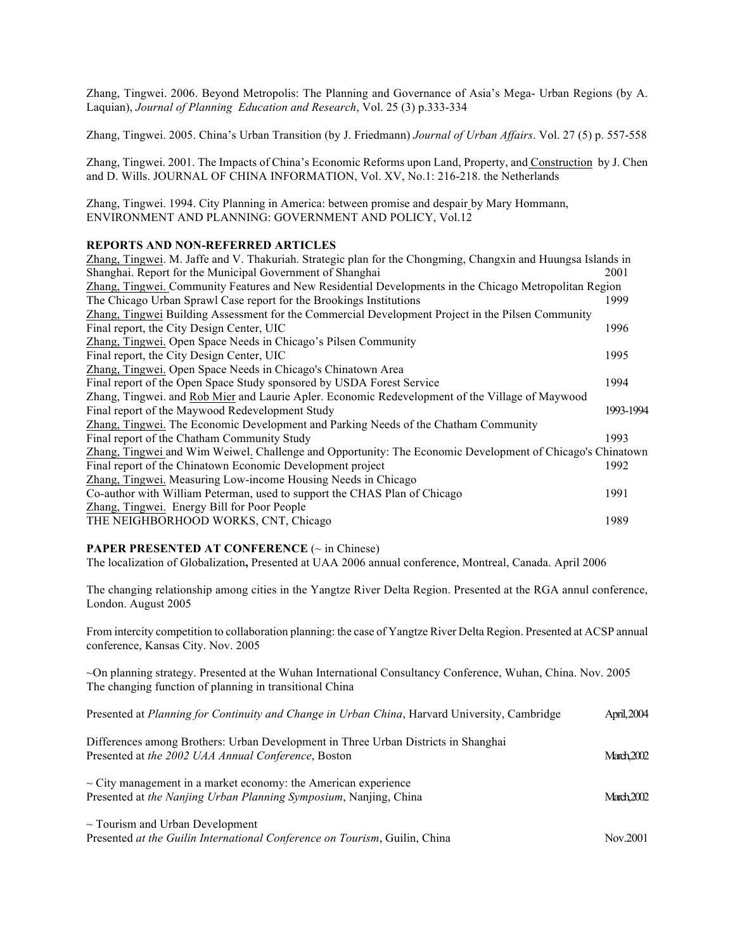Zhang, Tingwei. 2006. Beyond Metropolis: The Planning and Governance of Asia's Mega- Urban Regions (by A. Laquian), *Journal of Planning Education and Research*, Vol. 25 (3) p.333-334

Zhang, Tingwei. 2005. China's Urban Transition (by J. Friedmann) *Journal of Urban Affairs*. Vol. 27 (5) p. 557-558

Zhang, Tingwei. 2001. The Impacts of China's Economic Reforms upon Land, Property, and Construction by J. Chen and D. Wills. JOURNAL OF CHINA INFORMATION, Vol. XV, No.1: 216-218. the Netherlands

Zhang, Tingwei. 1994. City Planning in America: between promise and despair by Mary Hommann, ENVIRONMENT AND PLANNING: GOVERNMENT AND POLICY, Vol.12

## **REPORTS AND NON-REFERRED ARTICLES**

| Zhang, Tingwei. M. Jaffe and V. Thakuriah. Strategic plan for the Chongming, Changxin and Huungsa Islands in |           |
|--------------------------------------------------------------------------------------------------------------|-----------|
| Shanghai. Report for the Municipal Government of Shanghai                                                    | 2001      |
| Zhang, Tingwei. Community Features and New Residential Developments in the Chicago Metropolitan Region       |           |
| The Chicago Urban Sprawl Case report for the Brookings Institutions                                          | 1999      |
| Zhang, Tingwei Building Assessment for the Commercial Development Project in the Pilsen Community            |           |
| Final report, the City Design Center, UIC                                                                    | 1996      |
| Zhang, Tingwei. Open Space Needs in Chicago's Pilsen Community                                               |           |
| Final report, the City Design Center, UIC                                                                    | 1995      |
| Zhang, Tingwei. Open Space Needs in Chicago's Chinatown Area                                                 |           |
| Final report of the Open Space Study sponsored by USDA Forest Service                                        | 1994      |
| Zhang, Tingwei. and Rob Mier and Laurie Apler. Economic Redevelopment of the Village of Maywood              |           |
| Final report of the Maywood Redevelopment Study                                                              | 1993-1994 |
| Zhang, Tingwei. The Economic Development and Parking Needs of the Chatham Community                          |           |
| Final report of the Chatham Community Study                                                                  | 1993      |
| Zhang, Tingwei and Wim Weiwel. Challenge and Opportunity: The Economic Development of Chicago's Chinatown    |           |
| Final report of the Chinatown Economic Development project                                                   | 1992      |
| Zhang, Tingwei. Measuring Low-income Housing Needs in Chicago                                                |           |
| Co-author with William Peterman, used to support the CHAS Plan of Chicago                                    | 1991      |
| Zhang, Tingwei. Energy Bill for Poor People                                                                  |           |
| THE NEIGHBORHOOD WORKS, CNT, Chicago                                                                         | 1989      |

#### **PAPER PRESENTED AT CONFERENCE** (~ in Chinese)

The localization of Globalization**,** Presented at UAA 2006 annual conference, Montreal, Canada. April 2006

The changing relationship among cities in the Yangtze River Delta Region. Presented at the RGA annul conference, London. August 2005

From intercity competition to collaboration planning: the case of Yangtze River Delta Region. Presented at ACSP annual conference, Kansas City. Nov. 2005

~On planning strategy. Presented at the Wuhan International Consultancy Conference, Wuhan, China. Nov. 2005 The changing function of planning in transitional China

| Presented at Planning for Continuity and Change in Urban China, Harvard University, Cambridge                                             | April, 2004 |
|-------------------------------------------------------------------------------------------------------------------------------------------|-------------|
| Differences among Brothers: Urban Development in Three Urban Districts in Shanghai<br>Presented at the 2002 UAA Annual Conference, Boston | March 2002  |
| $\sim$ City management in a market economy: the American experience<br>Presented at the Nanjing Urban Planning Symposium, Nanjing, China  | March 2002  |
| $\sim$ Tourism and Urban Development<br>Presented at the Guilin International Conference on Tourism, Guilin, China                        | Nov.2001    |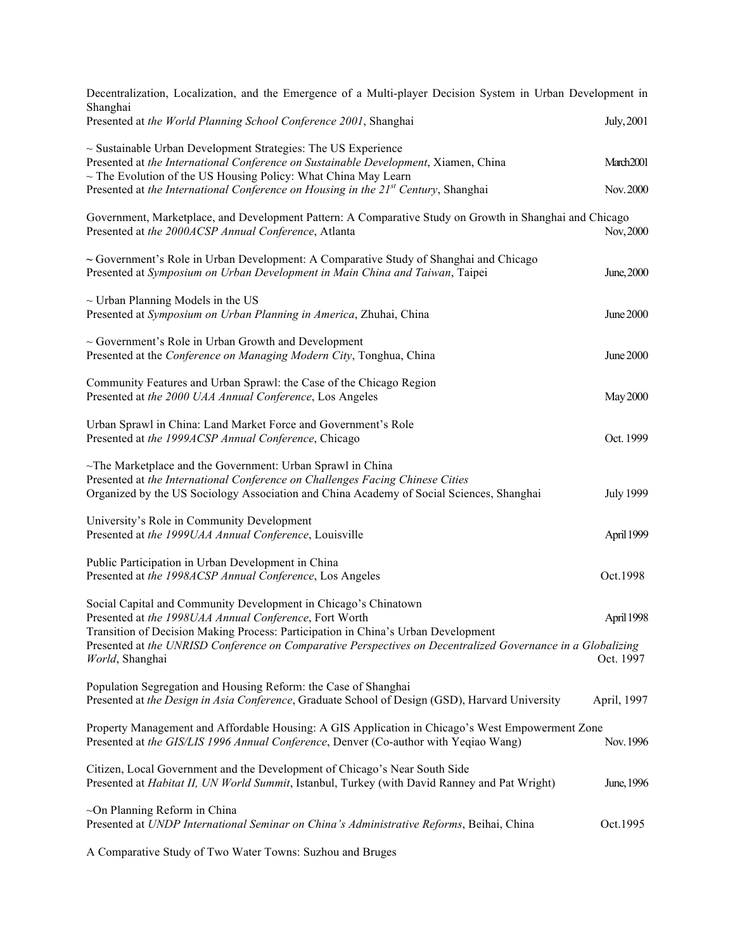| Decentralization, Localization, and the Emergence of a Multi-player Decision System in Urban Development in                                                                                                                                   |                  |
|-----------------------------------------------------------------------------------------------------------------------------------------------------------------------------------------------------------------------------------------------|------------------|
| Shanghai<br>Presented at the World Planning School Conference 2001, Shanghai                                                                                                                                                                  | July, 2001       |
| $\sim$ Sustainable Urban Development Strategies: The US Experience<br>Presented at the International Conference on Sustainable Development, Xiamen, China<br>$\sim$ The Evolution of the US Housing Policy: What China May Learn              | March2001        |
| Presented at the International Conference on Housing in the 21 <sup>st</sup> Century, Shanghai                                                                                                                                                | Nov. 2000        |
| Government, Marketplace, and Development Pattern: A Comparative Study on Growth in Shanghai and Chicago<br>Presented at the 2000ACSP Annual Conference, Atlanta                                                                               | Nov, 2000        |
| $\sim$ Government's Role in Urban Development: A Comparative Study of Shanghai and Chicago<br>Presented at Symposium on Urban Development in Main China and Taiwan, Taipei                                                                    | June, 2000       |
| $\sim$ Urban Planning Models in the US<br>Presented at Symposium on Urban Planning in America, Zhuhai, China                                                                                                                                  | June 2000        |
| $\sim$ Government's Role in Urban Growth and Development<br>Presented at the Conference on Managing Modern City, Tonghua, China                                                                                                               | June 2000        |
| Community Features and Urban Sprawl: the Case of the Chicago Region<br>Presented at the 2000 UAA Annual Conference, Los Angeles                                                                                                               | May 2000         |
| Urban Sprawl in China: Land Market Force and Government's Role<br>Presented at the 1999ACSP Annual Conference, Chicago                                                                                                                        | Oct. 1999        |
| $\sim$ The Marketplace and the Government: Urban Sprawl in China<br>Presented at the International Conference on Challenges Facing Chinese Cities<br>Organized by the US Sociology Association and China Academy of Social Sciences, Shanghai | <b>July 1999</b> |
| University's Role in Community Development<br>Presented at the 1999UAA Annual Conference, Louisville                                                                                                                                          | April 1999       |
| Public Participation in Urban Development in China<br>Presented at the 1998ACSP Annual Conference, Los Angeles                                                                                                                                | Oct.1998         |
| Social Capital and Community Development in Chicago's Chinatown<br>Presented at the 1998UAA Annual Conference, Fort Worth<br>Transition of Decision Making Process: Participation in China's Urban Development                                | April 1998       |
| Presented at the UNRISD Conference on Comparative Perspectives on Decentralized Governance in a Globalizing<br>World, Shanghai                                                                                                                | Oct. 1997        |
| Population Segregation and Housing Reform: the Case of Shanghai<br>Presented at the Design in Asia Conference, Graduate School of Design (GSD), Harvard University                                                                            | April, 1997      |
| Property Management and Affordable Housing: A GIS Application in Chicago's West Empowerment Zone<br>Presented at the GIS/LIS 1996 Annual Conference, Denver (Co-author with Yeqiao Wang)                                                      | Nov. 1996        |
| Citizen, Local Government and the Development of Chicago's Near South Side<br>Presented at Habitat II, UN World Summit, Istanbul, Turkey (with David Ranney and Pat Wright)                                                                   | June, 1996       |
| $\sim$ On Planning Reform in China<br>Presented at UNDP International Seminar on China's Administrative Reforms, Beihai, China                                                                                                                | Oct.1995         |
| A Comparative Study of Two Water Towns: Suzhou and Bruges                                                                                                                                                                                     |                  |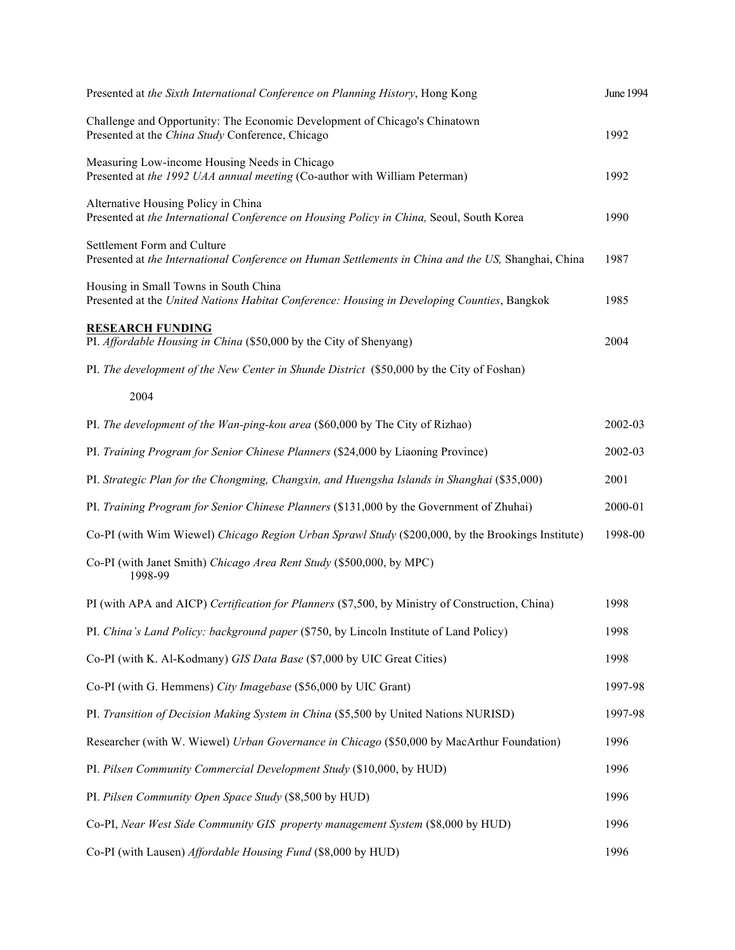| Presented at the Sixth International Conference on Planning History, Hong Kong                                                       | <b>June 1994</b> |
|--------------------------------------------------------------------------------------------------------------------------------------|------------------|
| Challenge and Opportunity: The Economic Development of Chicago's Chinatown<br>Presented at the China Study Conference, Chicago       | 1992             |
| Measuring Low-income Housing Needs in Chicago<br>Presented at the 1992 UAA annual meeting (Co-author with William Peterman)          | 1992             |
| Alternative Housing Policy in China<br>Presented at the International Conference on Housing Policy in China, Seoul, South Korea      | 1990             |
| Settlement Form and Culture<br>Presented at the International Conference on Human Settlements in China and the US, Shanghai, China   | 1987             |
| Housing in Small Towns in South China<br>Presented at the United Nations Habitat Conference: Housing in Developing Counties, Bangkok | 1985             |
| <b>RESEARCH FUNDING</b><br>PI. Affordable Housing in China (\$50,000 by the City of Shenyang)                                        | 2004             |
| PI. The development of the New Center in Shunde District (\$50,000 by the City of Foshan)                                            |                  |
| 2004                                                                                                                                 |                  |
| PI. The development of the Wan-ping-kou area (\$60,000 by The City of Rizhao)                                                        | 2002-03          |
| PI. Training Program for Senior Chinese Planners (\$24,000 by Liaoning Province)                                                     | 2002-03          |
| PI. Strategic Plan for the Chongming, Changxin, and Huengsha Islands in Shanghai (\$35,000)                                          | 2001             |
| PI. Training Program for Senior Chinese Planners (\$131,000 by the Government of Zhuhai)                                             | 2000-01          |
| Co-PI (with Wim Wiewel) Chicago Region Urban Sprawl Study (\$200,000, by the Brookings Institute)                                    | 1998-00          |
| Co-PI (with Janet Smith) Chicago Area Rent Study (\$500,000, by MPC)<br>1998-99                                                      |                  |
| PI (with APA and AICP) Certification for Planners (\$7,500, by Ministry of Construction, China)                                      | 1998             |
| PI. China's Land Policy: background paper (\$750, by Lincoln Institute of Land Policy)                                               | 1998             |
| Co-PI (with K. Al-Kodmany) GIS Data Base (\$7,000 by UIC Great Cities)                                                               | 1998             |
| Co-PI (with G. Hemmens) City Imagebase (\$56,000 by UIC Grant)                                                                       | 1997-98          |
| PI. Transition of Decision Making System in China (\$5,500 by United Nations NURISD)                                                 | 1997-98          |
| Researcher (with W. Wiewel) Urban Governance in Chicago (\$50,000 by MacArthur Foundation)                                           | 1996             |
| PI. Pilsen Community Commercial Development Study (\$10,000, by HUD)                                                                 | 1996             |
| PI. Pilsen Community Open Space Study (\$8,500 by HUD)                                                                               | 1996             |
| Co-PI, Near West Side Community GIS property management System (\$8,000 by HUD)                                                      | 1996             |
| Co-PI (with Lausen) Affordable Housing Fund (\$8,000 by HUD)                                                                         | 1996             |
|                                                                                                                                      |                  |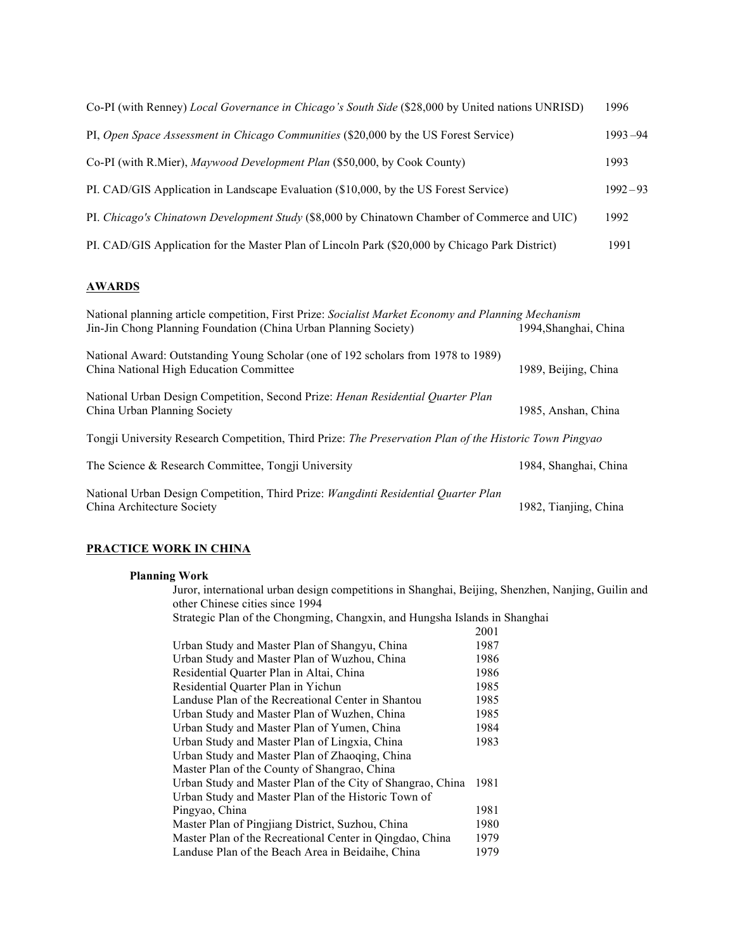| Co-PI (with Renney) Local Governance in Chicago's South Side (\$28,000 by United nations UNRISD) | 1996        |
|--------------------------------------------------------------------------------------------------|-------------|
| PI, Open Space Assessment in Chicago Communities (\$20,000 by the US Forest Service)             | $1993 - 94$ |
| Co-PI (with R.Mier), Maywood Development Plan (\$50,000, by Cook County)                         | 1993        |
| PI. CAD/GIS Application in Landscape Evaluation (\$10,000, by the US Forest Service)             | $1992 - 93$ |
| PI. Chicago's Chinatown Development Study (\$8,000 by Chinatown Chamber of Commerce and UIC)     | 1992        |
| PI. CAD/GIS Application for the Master Plan of Lincoln Park (\$20,000 by Chicago Park District)  | 1991        |

# **AWARDS**

| National planning article competition, First Prize: Socialist Market Economy and Planning Mechanism                          |                       |  |
|------------------------------------------------------------------------------------------------------------------------------|-----------------------|--|
| Jin-Jin Chong Planning Foundation (China Urban Planning Society)                                                             | 1994, Shanghai, China |  |
| National Award: Outstanding Young Scholar (one of 192 scholars from 1978 to 1989)<br>China National High Education Committee | 1989, Beijing, China  |  |
| National Urban Design Competition, Second Prize: <i>Henan Residential Quarter Plan</i><br>China Urban Planning Society       | 1985, Anshan, China   |  |
| Tongji University Research Competition, Third Prize: The Preservation Plan of the Historic Town Pingyao                      |                       |  |
| The Science & Research Committee, Tongji University                                                                          | 1984, Shanghai, China |  |
| National Urban Design Competition, Third Prize: <i>Wangdinti Residential Quarter Plan</i><br>China Architecture Society      | 1982, Tianjing, China |  |

# **PRACTICE WORK IN CHINA**

# **Planning Work**

|  | Planning Work                                                                                                                         |      |  |
|--|---------------------------------------------------------------------------------------------------------------------------------------|------|--|
|  | Juror, international urban design competitions in Shanghai, Beijing, Shenzhen, Nanjing, Guilin and<br>other Chinese cities since 1994 |      |  |
|  |                                                                                                                                       |      |  |
|  | Strategic Plan of the Chongming, Changxin, and Hungsha Islands in Shanghai                                                            |      |  |
|  |                                                                                                                                       | 2001 |  |
|  | Urban Study and Master Plan of Shangyu, China                                                                                         | 1987 |  |
|  | Urban Study and Master Plan of Wuzhou, China                                                                                          | 1986 |  |
|  | Residential Quarter Plan in Altai, China                                                                                              | 1986 |  |
|  | Residential Quarter Plan in Yichun                                                                                                    | 1985 |  |
|  | Landuse Plan of the Recreational Center in Shantou                                                                                    | 1985 |  |
|  | Urban Study and Master Plan of Wuzhen, China                                                                                          | 1985 |  |
|  | Urban Study and Master Plan of Yumen, China                                                                                           | 1984 |  |
|  | Urban Study and Master Plan of Lingxia, China                                                                                         | 1983 |  |
|  | Urban Study and Master Plan of Zhaoqing, China                                                                                        |      |  |
|  | Master Plan of the County of Shangrao, China                                                                                          |      |  |
|  | Urban Study and Master Plan of the City of Shangrao, China                                                                            | 1981 |  |
|  | Urban Study and Master Plan of the Historic Town of                                                                                   |      |  |
|  | Pingyao, China                                                                                                                        | 1981 |  |
|  | Master Plan of Pingjiang District, Suzhou, China                                                                                      | 1980 |  |
|  | Master Plan of the Recreational Center in Qingdao, China                                                                              | 1979 |  |
|  | Landuse Plan of the Beach Area in Beidaihe, China                                                                                     | 1979 |  |
|  |                                                                                                                                       |      |  |